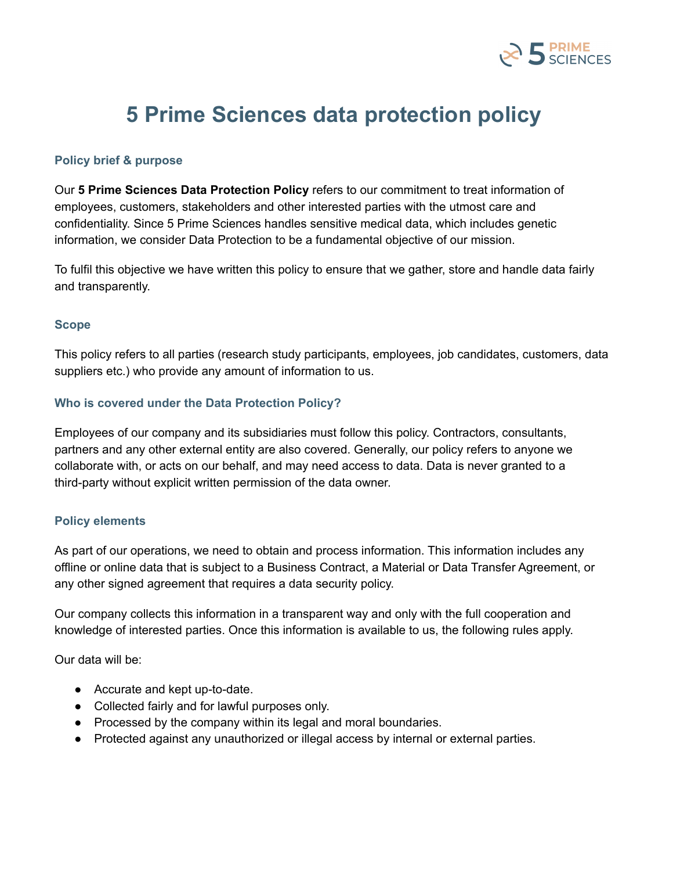

# **5 Prime Sciences data protection policy**

## **Policy brief & purpose**

Our **5 Prime Sciences Data Protection Policy** refers to our commitment to treat information of employees, customers, stakeholders and other interested parties with the utmost care and confidentiality. Since 5 Prime Sciences handles sensitive medical data, which includes genetic information, we consider Data Protection to be a fundamental objective of our mission.

To fulfil this objective we have written this policy to ensure that we gather, store and handle data fairly and transparently.

#### **Scope**

This policy refers to all parties (research study participants, employees, job candidates, customers, data suppliers etc.) who provide any amount of information to us.

#### **Who is covered under the Data Protection Policy?**

Employees of our company and its subsidiaries must follow this policy. Contractors, consultants, partners and any other external entity are also covered. Generally, our policy refers to anyone we collaborate with, or acts on our behalf, and may need access to data. Data is never granted to a third-party without explicit written permission of the data owner.

### **Policy elements**

As part of our operations, we need to obtain and process information. This information includes any offline or online data that is subject to a Business Contract, a Material or Data Transfer Agreement, or any other signed agreement that requires a data security policy.

Our company collects this information in a transparent way and only with the full cooperation and knowledge of interested parties. Once this information is available to us, the following rules apply.

Our data will be:

- Accurate and kept up-to-date.
- Collected fairly and for lawful purposes only.
- Processed by the company within its legal and moral boundaries.
- Protected against any unauthorized or illegal access by internal or external parties.